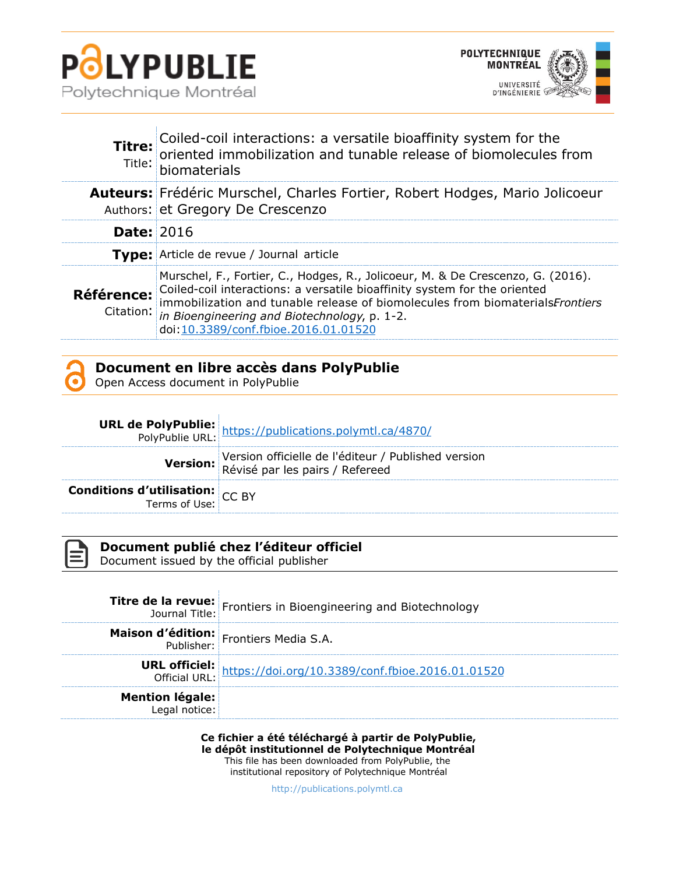



| Titre:<br>Title:  | Coiled-coil interactions: a versatile bioaffinity system for the oriented immobilization and tunable release of biomolecules from<br>biomaterials                                                                                                                                                                                               |
|-------------------|-------------------------------------------------------------------------------------------------------------------------------------------------------------------------------------------------------------------------------------------------------------------------------------------------------------------------------------------------|
|                   | Auteurs: Frédéric Murschel, Charles Fortier, Robert Hodges, Mario Jolicoeur<br>Authors: et Gregory De Crescenzo                                                                                                                                                                                                                                 |
| <b>Date: 2016</b> |                                                                                                                                                                                                                                                                                                                                                 |
|                   | <b>Type:</b> Article de revue / Journal article                                                                                                                                                                                                                                                                                                 |
| Référence:        | Murschel, F., Fortier, C., Hodges, R., Jolicoeur, M. & De Crescenzo, G. (2016).<br>Coiled-coil interactions: a versatile bioaffinity system for the oriented<br>immobilization and tunable release of biomolecules from biomaterialsFrontiers<br>Citation: in Bioengineering and Biotechnology, p. 1-2.<br>doi:10.3389/conf.fbioe.2016.01.01520 |

| Document en libre accès dans PolyPublie |  |  |  |
|-----------------------------------------|--|--|--|
|-----------------------------------------|--|--|--|

Open Access document in PolyPublie

|                                                               | <b>URL de PolyPublie:</b> https://publications.polymtl.ca/4870/<br>PolyPublie URL: https://publications.polymtl.ca/4870/ |
|---------------------------------------------------------------|--------------------------------------------------------------------------------------------------------------------------|
|                                                               | Version officielle de l'éditeur / Published version<br>Révisé par les pairs / Refereed                                   |
| <b>Conditions d'utilisation:</b> CC BY<br>Terms of Use: CC BY |                                                                                                                          |



## **Document publié chez l'éditeur officiel**

Document issued by the official publisher

|                                         | <b>Titre de la revue:</b> Frontiers in Bioengineering and Biotechnology<br>Journal Title: |
|-----------------------------------------|-------------------------------------------------------------------------------------------|
|                                         | <b>Maison d'édition:</b> Frontiers Media S.A.                                             |
|                                         | <b>URL officiel:</b><br>Official URL: https://doi.org/10.3389/conf.fbioe.2016.01.01520    |
| <b>Mention légale:</b><br>Legal notice: |                                                                                           |

**Ce fichier a été téléchargé à partir de PolyPublie, le dépôt institutionnel de Polytechnique Montréal** This file has been downloaded from PolyPublie, the institutional repository of Polytechnique Montréal

[http://publications.polymtl.ca](http://publications.polymtl.ca/)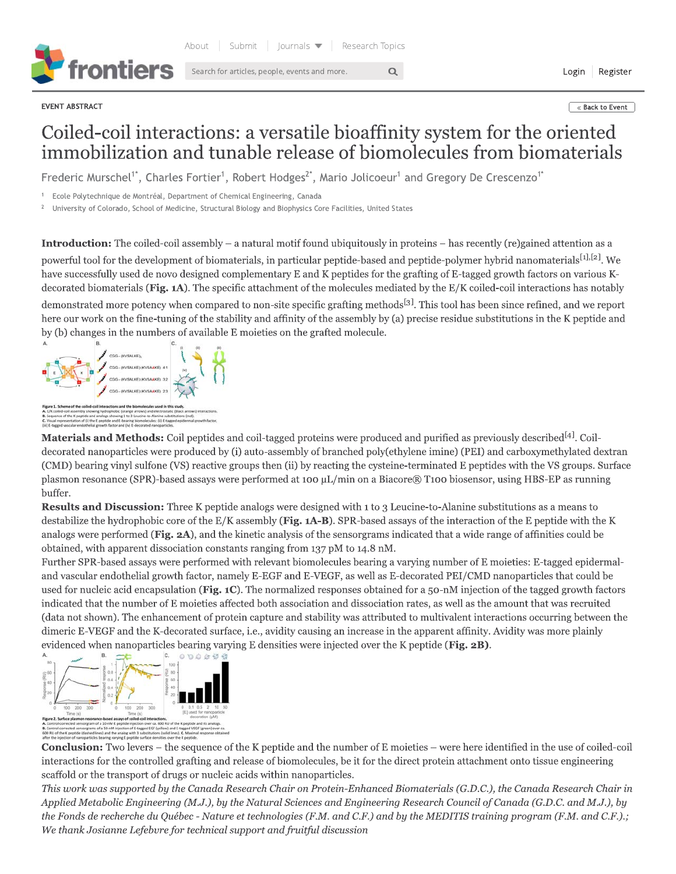

Search for articles, people, events and more.  $\overline{Q}$  **Let us and more Login Register** 

 $\epsilon$ where the stack to Event the state of the state of the state  $\epsilon$  and  $\epsilon$  and  $\epsilon$  are stated to Event the state of the state of the state of the state of the state of the state of the state of the state of the state

## Colled-coil interactions: a versatile bioaffinity system for the oriented immobilization and tunable release of biomolecules from bion

EVENT ABSTRACT<br>
EVENT ASSTRACT<br>
COILEC - COIL interactions: a versatile bioaffinity system for the oriented<br>
immobilization and tunable release of biomolecules from biomaterials<br>
Frederic Murschel<sup>1</sup>, Charles Fortier<sup>1</sup>,  $\mu$ ed-coil assembly  $-$  a natural motif found ubiquitously in proteins  $-$  has recently (re)gained attention as a powerful tool for the development of biomaterials, in particular peptide-based and peptide-polymer hybrid nanomaterials $^{[1], [2]}$ . We have successfully used de novo designed complementary E and K peptides for the grafting of E-tagged growth factors on various Kdecorated biomaterials (Fi**g. 1A**). The specific attachment of the molecules mediated by the E/K coiled-coil interactions has notably

demonstrated more potency when compared to non-site specific grafting methods<sup>t31</sup>. This tool has been since refined, and we report here our work on the fine-tuning of the stability and affinity of the assembly by (a) precise residue substitutions in the K peptide and by (b) changes in the numbers of available E moleties on the grafted molecule.



 $\bf{Materials \ and \ Methods:}$  Coil peptides and coil-tagged proteins were produced and purified as previously described<sup>14J</sup>. Coildecorated nanoparticles were produced by (1) auto-assembly of branched poly(ethylene imine) (PEI) and carboxymethylated dextran (CMD) bearing vinyl sulfone (VS) reactive groups then (ii) by reacting the cysteine-terminated E peptides with the VS groups. Surface plasmon resonance (SPR)-based assays were performed at 100 µL/min on a Biacore® T100 biosensor, using HBS-EP as running buffer.

**Results and Discussion:** Three K peptide analogs were designed with 1 to 3 Leucine-to-Alanine substitutions as a means to destabilize the hydrophobic core of the E/K assembly (**Fig. 1A-B**). SPR-based assays of the interaction of the E peptide with the K analogs were performed (Fi**g. 2A**), and the kinetic analysis of the sensorgrams indicated that a wide range of affinities could be  $\alpha$  obtained, with apparent dissociation constants ranging from 137 pM to 14.8 nM.

Further SPR-based assays were performed with relevant biomolecules bearing a varying number of E moleties: E-tagged epidermaland vascular endothelial growth factor, namely E-EGF and E-VEGF, as well as E-decorated PEI/CMD nanoparticles that could be used for nucleic acid encapsulation (Fi $\bf{g.\,IC}$ ). The normalized responses obtained for a 50-nM injection of the tagged growth factors indicated that the number of E moleties affected both association and dissociation rates, as well as the amount that was recruited (data not shown). The enhancement of protein capture and stability was attributed to multivalent interactions occurring between the dimeric E-VEGF and the K-decorated surface, i.e., avidity causing an increase in the apparent affinity. Avidity was more plainly evidenced when nanoparticles bearing varying E densities were injected over the K peptide (Fi**g. 2B)**.



 $\bf Conclusion:}$  I wo levers  $-$  the sequence of the K peptide and the number of E moleties  $-$  were here identified in the use of colled-coll interactions for the controlled grafting and release of biomolecules, be it for the direct protein attachment onto tissue engineering scaffold or the transport of drugs or nucleic acids within nanoparticles.

This work was supported by the Canada Research Chair on Protein-Enhanced Biomaterials (G.D.C.), the Canada Research Chair in Applied Metabolic Engineering (M.J.), by the Natural Sciences and Engineering Research Council of Canada (G.D.C. and M.J.), by the Fonds de recherche du Québec - Nature et technologies (F.M. and C.F.) and by the MEDITIS training program (F.M. and C.F.).; We thank Josianne Lefebvre for technical support and fruitful discussion